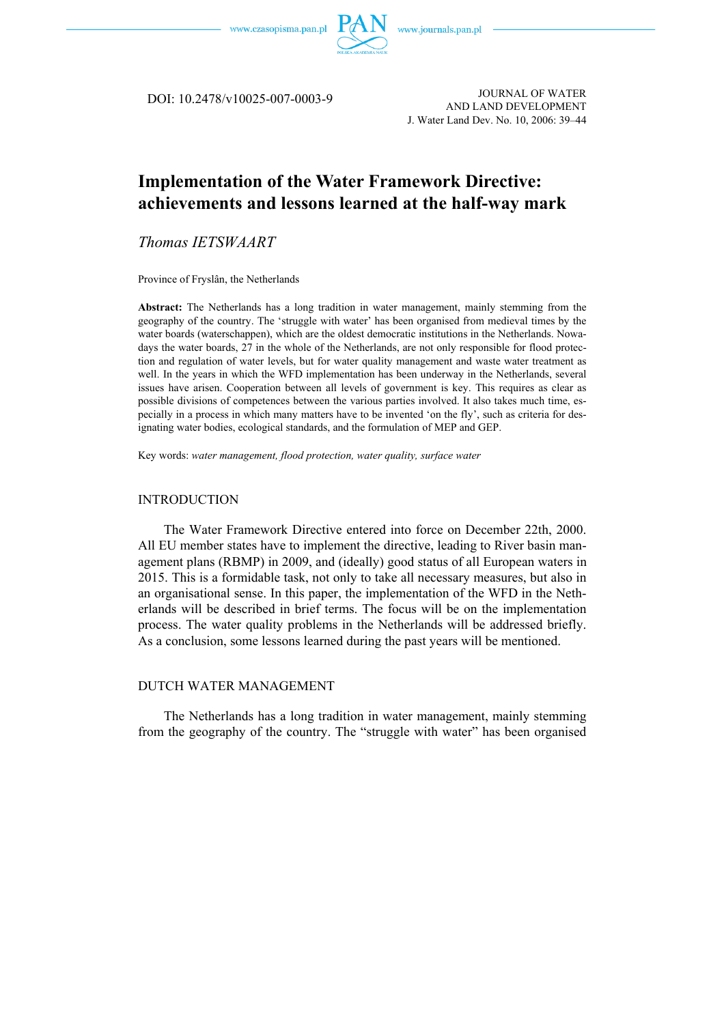



JOURNAL OF WATER DOI: 10.2478/v10025-007-0003-9 AND LAND DEVELOPMENT J. Water Land Dev. No. 10, 2006: 39–44

# **Implementation of the Water Framework Directive: achievements and lessons learned at the half-way mark**

*Thomas IETSWAART* 

Province of Fryslân, the Netherlands

**Abstract:** The Netherlands has a long tradition in water management, mainly stemming from the geography of the country. The 'struggle with water' has been organised from medieval times by the water boards (waterschappen), which are the oldest democratic institutions in the Netherlands. Nowadays the water boards, 27 in the whole of the Netherlands, are not only responsible for flood protection and regulation of water levels, but for water quality management and waste water treatment as well. In the years in which the WFD implementation has been underway in the Netherlands, several issues have arisen. Cooperation between all levels of government is key. This requires as clear as possible divisions of competences between the various parties involved. It also takes much time, especially in a process in which many matters have to be invented 'on the fly', such as criteria for designating water bodies, ecological standards, and the formulation of MEP and GEP.

Key words: *water management, flood protection, water quality, surface water* 

#### INTRODUCTION

The Water Framework Directive entered into force on December 22th, 2000. All EU member states have to implement the directive, leading to River basin management plans (RBMP) in 2009, and (ideally) good status of all European waters in 2015. This is a formidable task, not only to take all necessary measures, but also in an organisational sense. In this paper, the implementation of the WFD in the Netherlands will be described in brief terms. The focus will be on the implementation process. The water quality problems in the Netherlands will be addressed briefly. As a conclusion, some lessons learned during the past years will be mentioned.

## DUTCH WATER MANAGEMENT

The Netherlands has a long tradition in water management, mainly stemming from the geography of the country. The "struggle with water" has been organised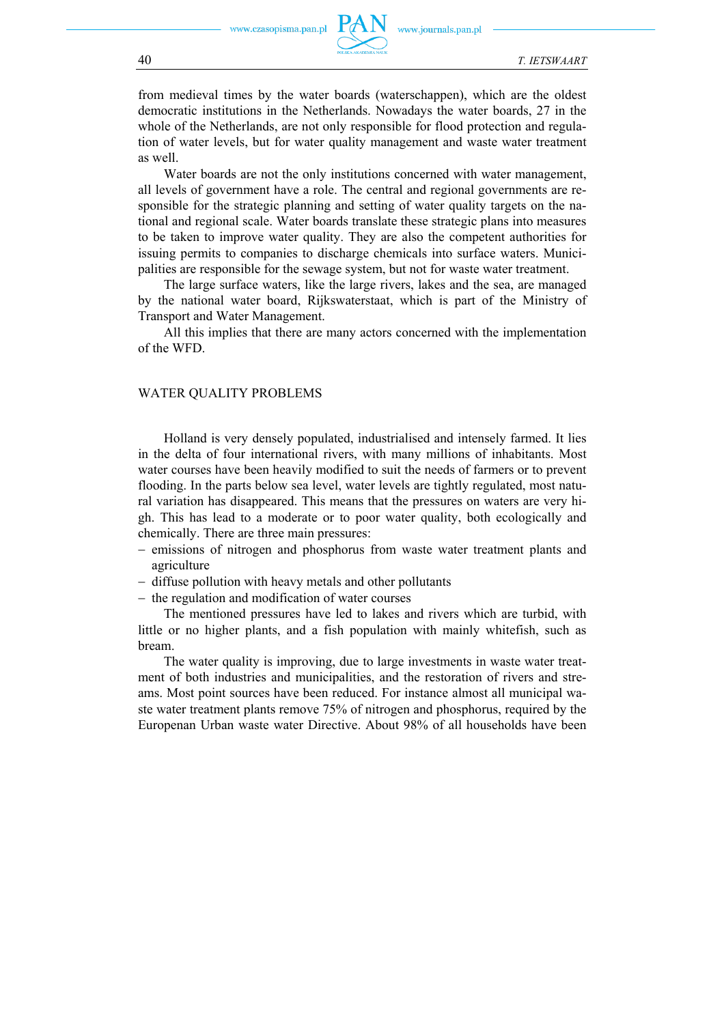

from medieval times by the water boards (waterschappen), which are the oldest democratic institutions in the Netherlands. Nowadays the water boards, 27 in the whole of the Netherlands, are not only responsible for flood protection and regulation of water levels, but for water quality management and waste water treatment as well.

Water boards are not the only institutions concerned with water management, all levels of government have a role. The central and regional governments are responsible for the strategic planning and setting of water quality targets on the national and regional scale. Water boards translate these strategic plans into measures to be taken to improve water quality. They are also the competent authorities for issuing permits to companies to discharge chemicals into surface waters. Municipalities are responsible for the sewage system, but not for waste water treatment.

The large surface waters, like the large rivers, lakes and the sea, are managed by the national water board, Rijkswaterstaat, which is part of the Ministry of Transport and Water Management.

All this implies that there are many actors concerned with the implementation of the WFD.

#### WATER QUALITY PROBLEMS

Holland is very densely populated, industrialised and intensely farmed. It lies in the delta of four international rivers, with many millions of inhabitants. Most water courses have been heavily modified to suit the needs of farmers or to prevent flooding. In the parts below sea level, water levels are tightly regulated, most natural variation has disappeared. This means that the pressures on waters are very high. This has lead to a moderate or to poor water quality, both ecologically and chemically. There are three main pressures:

- − emissions of nitrogen and phosphorus from waste water treatment plants and agriculture
- − diffuse pollution with heavy metals and other pollutants
- − the regulation and modification of water courses

The mentioned pressures have led to lakes and rivers which are turbid, with little or no higher plants, and a fish population with mainly whitefish, such as bream.

The water quality is improving, due to large investments in waste water treatment of both industries and municipalities, and the restoration of rivers and streams. Most point sources have been reduced. For instance almost all municipal waste water treatment plants remove 75% of nitrogen and phosphorus, required by the Europenan Urban waste water Directive. About 98% of all households have been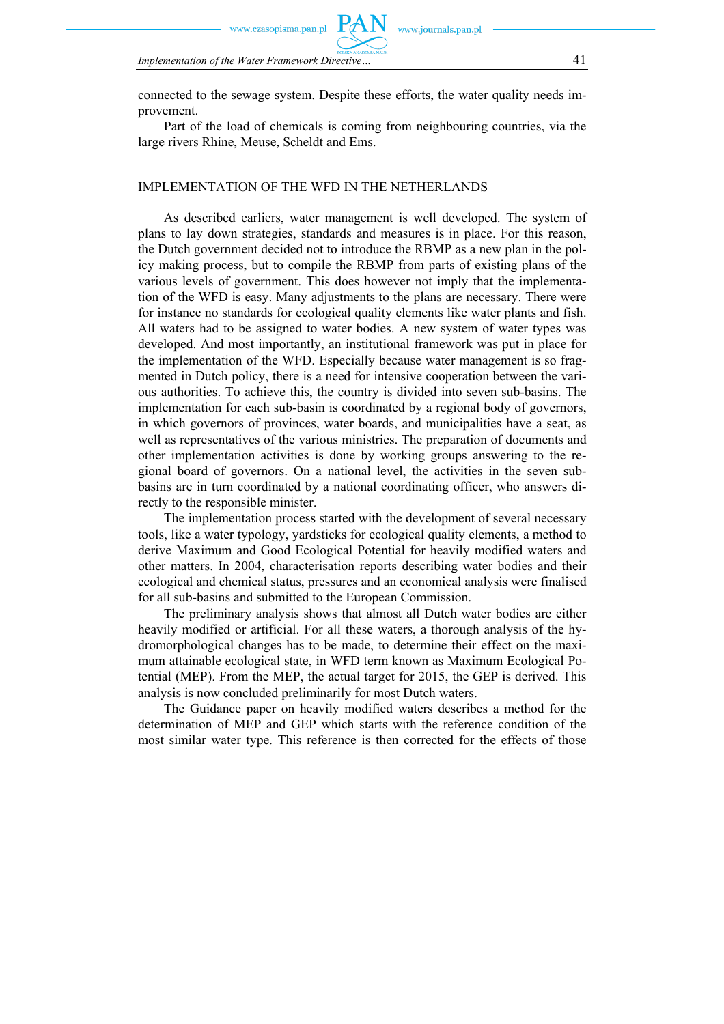sopisma.pan.pl

www.journals.pan.pl

*Implementation of the Water Framework Directive…* 41

connected to the sewage system. Despite these efforts, the water quality needs improvement.

Part of the load of chemicals is coming from neighbouring countries, via the large rivers Rhine, Meuse, Scheldt and Ems.

## IMPLEMENTATION OF THE WFD IN THE NETHERLANDS

As described earliers, water management is well developed. The system of plans to lay down strategies, standards and measures is in place. For this reason, the Dutch government decided not to introduce the RBMP as a new plan in the policy making process, but to compile the RBMP from parts of existing plans of the various levels of government. This does however not imply that the implementation of the WFD is easy. Many adjustments to the plans are necessary. There were for instance no standards for ecological quality elements like water plants and fish. All waters had to be assigned to water bodies. A new system of water types was developed. And most importantly, an institutional framework was put in place for the implementation of the WFD. Especially because water management is so fragmented in Dutch policy, there is a need for intensive cooperation between the various authorities. To achieve this, the country is divided into seven sub-basins. The implementation for each sub-basin is coordinated by a regional body of governors, in which governors of provinces, water boards, and municipalities have a seat, as well as representatives of the various ministries. The preparation of documents and other implementation activities is done by working groups answering to the regional board of governors. On a national level, the activities in the seven subbasins are in turn coordinated by a national coordinating officer, who answers directly to the responsible minister.

The implementation process started with the development of several necessary tools, like a water typology, yardsticks for ecological quality elements, a method to derive Maximum and Good Ecological Potential for heavily modified waters and other matters. In 2004, characterisation reports describing water bodies and their ecological and chemical status, pressures and an economical analysis were finalised for all sub-basins and submitted to the European Commission.

The preliminary analysis shows that almost all Dutch water bodies are either heavily modified or artificial. For all these waters, a thorough analysis of the hydromorphological changes has to be made, to determine their effect on the maximum attainable ecological state, in WFD term known as Maximum Ecological Potential (MEP). From the MEP, the actual target for 2015, the GEP is derived. This analysis is now concluded preliminarily for most Dutch waters.

The Guidance paper on heavily modified waters describes a method for the determination of MEP and GEP which starts with the reference condition of the most similar water type. This reference is then corrected for the effects of those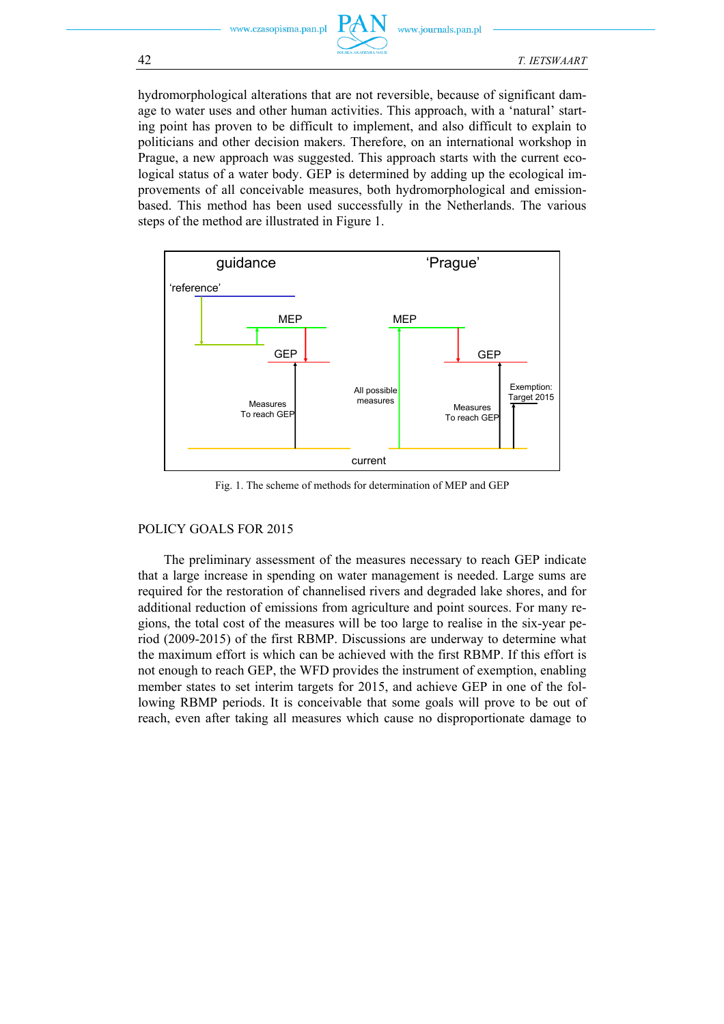

hydromorphological alterations that are not reversible, because of significant damage to water uses and other human activities. This approach, with a 'natural' starting point has proven to be difficult to implement, and also difficult to explain to politicians and other decision makers. Therefore, on an international workshop in Prague, a new approach was suggested. This approach starts with the current ecological status of a water body. GEP is determined by adding up the ecological improvements of all conceivable measures, both hydromorphological and emissionbased. This method has been used successfully in the Netherlands. The various steps of the method are illustrated in Figure 1.



Fig. 1. The scheme of methods for determination of MEP and GEP

## POLICY GOALS FOR 2015

The preliminary assessment of the measures necessary to reach GEP indicate that a large increase in spending on water management is needed. Large sums are required for the restoration of channelised rivers and degraded lake shores, and for additional reduction of emissions from agriculture and point sources. For many regions, the total cost of the measures will be too large to realise in the six-year period (2009-2015) of the first RBMP. Discussions are underway to determine what the maximum effort is which can be achieved with the first RBMP. If this effort is not enough to reach GEP, the WFD provides the instrument of exemption, enabling member states to set interim targets for 2015, and achieve GEP in one of the following RBMP periods. It is conceivable that some goals will prove to be out of reach, even after taking all measures which cause no disproportionate damage to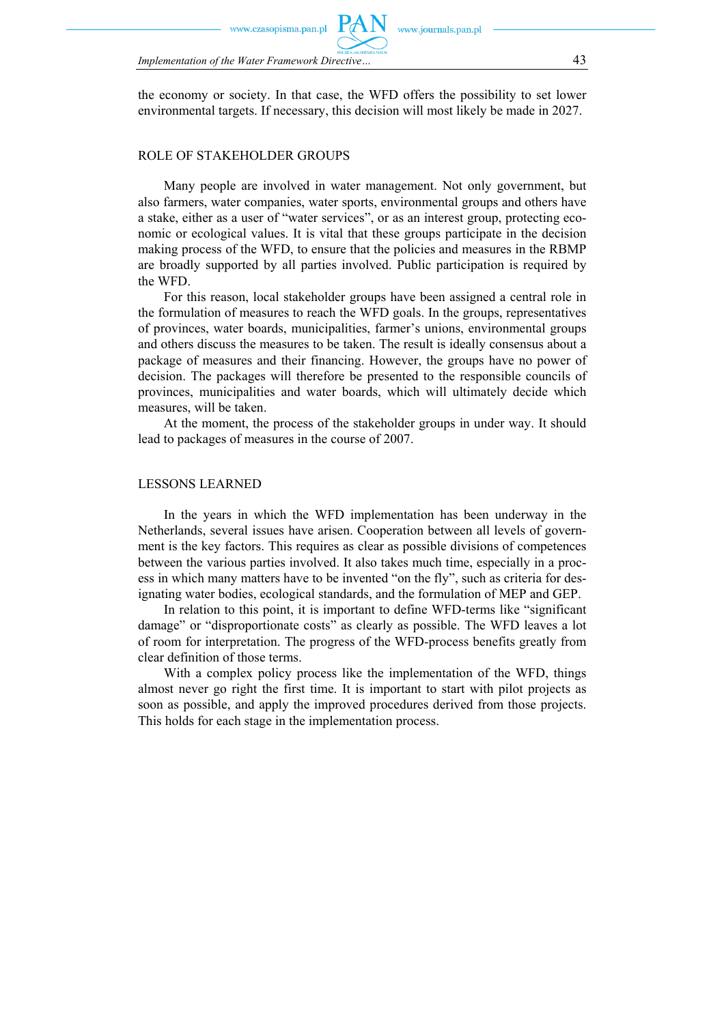sopisma.pan.p

*Implementation of the Water Framework Directive…* 43

the economy or society. In that case, the WFD offers the possibility to set lower environmental targets. If necessary, this decision will most likely be made in 2027.

www.journals.pan.pl

#### ROLE OF STAKEHOLDER GROUPS

Many people are involved in water management. Not only government, but also farmers, water companies, water sports, environmental groups and others have a stake, either as a user of "water services", or as an interest group, protecting economic or ecological values. It is vital that these groups participate in the decision making process of the WFD, to ensure that the policies and measures in the RBMP are broadly supported by all parties involved. Public participation is required by the WFD.

For this reason, local stakeholder groups have been assigned a central role in the formulation of measures to reach the WFD goals. In the groups, representatives of provinces, water boards, municipalities, farmer's unions, environmental groups and others discuss the measures to be taken. The result is ideally consensus about a package of measures and their financing. However, the groups have no power of decision. The packages will therefore be presented to the responsible councils of provinces, municipalities and water boards, which will ultimately decide which measures, will be taken.

At the moment, the process of the stakeholder groups in under way. It should lead to packages of measures in the course of 2007.

#### LESSONS LEARNED

In the years in which the WFD implementation has been underway in the Netherlands, several issues have arisen. Cooperation between all levels of government is the key factors. This requires as clear as possible divisions of competences between the various parties involved. It also takes much time, especially in a process in which many matters have to be invented "on the fly", such as criteria for designating water bodies, ecological standards, and the formulation of MEP and GEP.

In relation to this point, it is important to define WFD-terms like "significant damage" or "disproportionate costs" as clearly as possible. The WFD leaves a lot of room for interpretation. The progress of the WFD-process benefits greatly from clear definition of those terms.

With a complex policy process like the implementation of the WFD, things almost never go right the first time. It is important to start with pilot projects as soon as possible, and apply the improved procedures derived from those projects. This holds for each stage in the implementation process.